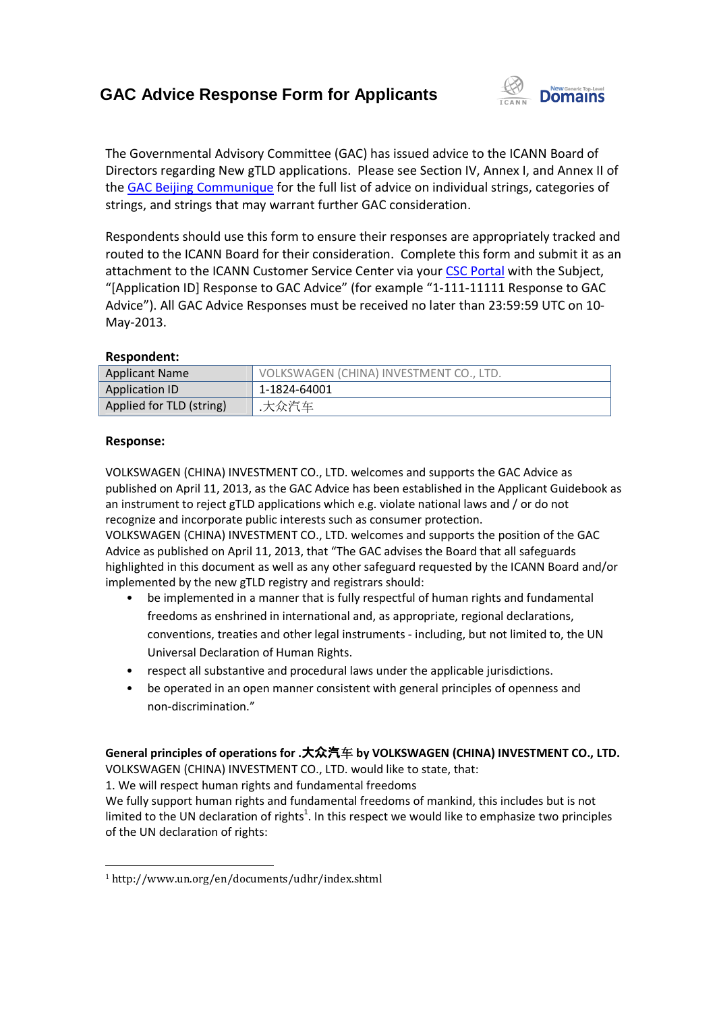## **GAC Advice Response Form for Applicants**



The Governmental Advisory Committee (GAC) has issued advice to the ICANN Board of Directors regarding New gTLD applications. Please see Section IV, Annex I, and Annex II of the **GAC Beijing Communique** for the full list of advice on individual strings, categories of strings, and strings that may warrant further GAC consideration. see Section IV, Annex I, and Annex II of<br>ice on individual strings, categories of<br>onsideration.<br>esponses are appropriately tracked and<br>Complete this form and submit it as an

Respondents should use this form to ensure their responses are appropriately tracked and routed to the ICANN Board for their consideration. Complete this form and submit it attachment to the ICANN Customer Service Center via your CSC Portal with the Subject, "[Application ID] Response to GAC Advice" (for example "1-111-11111 Response to GAC<br>Advice"). All GAC Advice Responses must be received no later than 23:59:59 UTC on 10-Advice"). All GAC Advice Responses must be received no later than 23:59:59 UTC on 10 May-2013. d use this form to ensure their responses are appropriately tracked<br>
N Board for their consideration. Complete this form and submit it<br>
ICANN Customer Service Center via your CSC Portal with the Subjee

### **Respondent:**

| <b>Applicant Name</b>    | VOLKSWAGEN (CHINA) INVESTMENT CO., LTD. |
|--------------------------|-----------------------------------------|
| Application ID           | 1-1824-64001                            |
| Applied for TLD (string) | .大众汽车                                   |

### **Response:**

VOLKSWAGEN (CHINA) INVESTMENT CO., LTD. welcomes and supports the GAC Advice as published on April 11, 2013, as the GAC Advice has been established in the Applicant Guidebook as an instrument to reject gTLD applications which e.g. violate national laws and / or do not recognize and incorporate public interests such as consumer protection. VOLKSWAGEN (CHINA) INVESTMENT CO., LTD. welcomes and supports the GAC Advice as<br>published on April 11, 2013, as the GAC Advice has been established in the Applicant Guideboo<br>an instrument to reject gTLD applications which

Advice as published on April 11, 2013, that "The GAC advises the Board that all safeguards highlighted in this document as well as any other safeguard requested by the ICANN Board and/or implemented by the new gTLD registry and registrars should: SWAGEN (CHINA) INVESTMENT CO., LTD. welcomes and supports the GAC Advice as<br>shed on April 11, 2013, as the GAC Advice has been established in the Applicant Guideboo<br>strument to reject gTLD applications which e.g. violate n

- be implemented in a manner that is fully respectful of human rights and fundamental freedoms as enshrined in international and, as appropriate, regional declarations, be implemented in a manner that is fully respectful of human rights and fundamental<br>freedoms as enshrined in international and, as appropriate, regional declarations,<br>conventions, treaties and other legal instruments - inc Universal Declaration of Human Rights.
- respect all substantive and procedural laws under the applicable jurisdictions.
- be operated in an open manner consistent with general principles of openness and non-discrimination." Universal Declaration of Human Rights.<br>respect all substantive and procedural laws under<br>be operated in an open manner consistent with ge<br>non-discrimination."

### General principles of operations for .大众汽车 by VOLKSWAGEN (CHINA) INVESTMENT CO., LTD.

VOLKSWAGEN (CHINA) INVESTMENT CO., LTD. would like to state, that:

1. We will respect human rights and fundamental freedoms

We fully support human rights and fundamental freedoms of mankind, this includes but is not limited to the UN declaration of rights<sup>1</sup>. In this respect we would like to emphasize two principles of the UN declaration of rights:

 $\overline{a}$ <sup>1</sup> http://www.un.org/en/documents/udhr/index.shtml  $\overline{a}$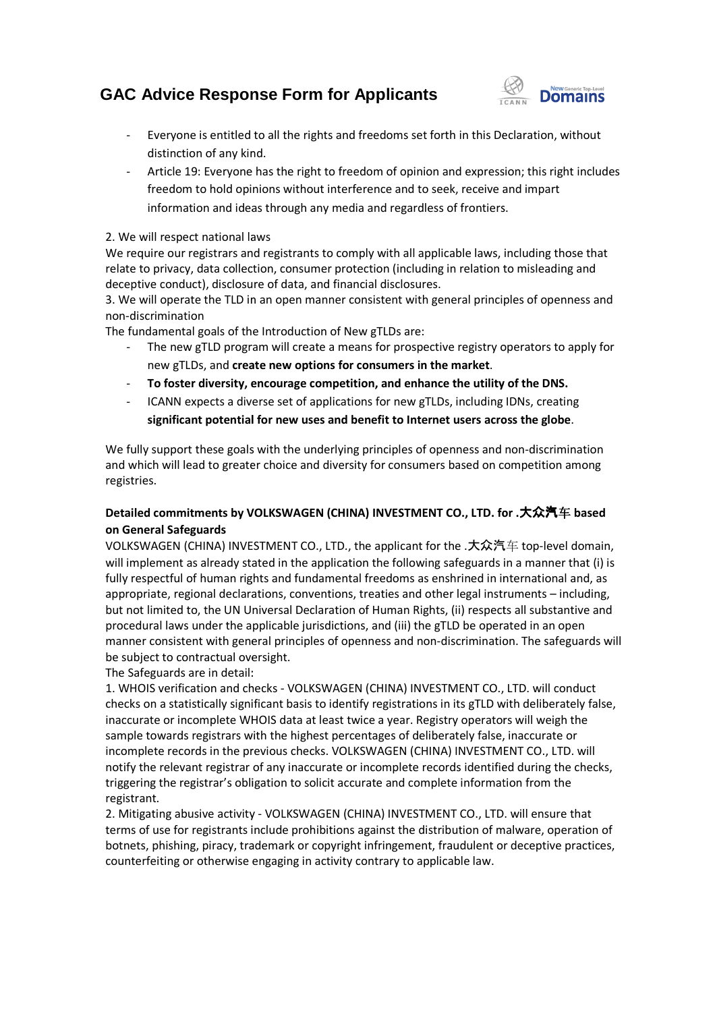# **GAC Advice Response Form for Applicants**



- Everyone is entitled to all the rights and freedoms set forth in this Declaration, without distinction of any kind.
- Article 19: Everyone has the right to freedom of opinion and expression; this right includes freedom to hold opinions without interference and to seek, receive and impart information and ideas through any media and regardless of frontiers.

#### 2. We will respect national laws

We require our registrars and registrants to comply with all applicable laws, including those that relate to privacy, data collection, consumer protection (including in relation to misleading and deceptive conduct), disclosure of data, and financial d disclosures. Id opinions without interference and to seek, receive and impart<br>
d ideas through any media and regardless of frontiers.<br>
Shall laws<br>
Jamal laws<br>
Jamal laws<br>
ars and registrants to comply with all applicable laws, includin

3. We will operate the TLD in an open manner consistent with general principles of openness and non-discrimination

The fundamental goals of the Introduction of New gTLDs are:

- The new gTLD program will create a means for prospective registry operators to apply for new gTLDs, and **create new options for consumers in the market** .
- **To foster diversity, encourage competition, and enhance the utility of the DNS.**
- ICANN expects a diverse set of applications for new gTLDs, including IDNs, creating To foster diversity, encourage competition, and enhance the utility of the DNS.<br>ICANN expects a diverse set of applications for new gTLDs, including IDNs, creating<br>significant potential for new uses and benefit to Internet

We fully support these goals with the underlying principles of openness and non-discrimination and which will lead to greater choice and diversity for consumers based on competition among registries.

### **Detailed commitments by VOLKSWAGEN (CHINA) INVESTMENT CO., LTD. for .** 大众汽车 **based on General Safeguards**

VOLKSWAGEN (CHINA) INVESTMENT CO., LTD., the applicant for the . 大众汽 汽车 top-level domain, will implement as already stated in the application the following safeguards in a manner that (i) is fully respectful of human rights and fundamental freedoms as enshrined in international and, as appropriate, regional declarations, conventions, treaties and other legal instruments – including, but not limited to, the UN Universal Declaration of Human Rights, (ii) respects all substantive and procedural laws under the applicable jurisdictions, and (iii) the gTLD be operated in an open procedural laws under the applicable jurisdictions, and (iii) the gTLD be operated in an open<br>manner consistent with general principles of openness and non-discrimination. The safeguards will be subject to contractual oversight. ion the following safeguards in a manner that (i) is<br>al freedoms as enshrined in international and, as<br>, treaties and other legal instruments – including, Rights, (ii) respects all substantive a<br>the gTLD be operated in an open<br>non-discrimination. The safeguards<br>NVESTMENT CO., LTD. will conduct

The Safeguards are in detail:

1. WHOIS verification and checks - VOLKSWAGEN (CHINA) INVESTMENT CO., LTD. will conduct checks on a statistically significant basis to identify registrations in its gTLD with deliberately false, inaccurate or incomplete WHOIS data at least twice a year. Registry operators will weigh the sample towards registrars with the highest percentages of deliberately false, inaccurate or sample towards registrars with the highest percentages of deliberately false, inaccurate or<br>incomplete records in the previous checks. VOLKSWAGEN (CHINA) INVESTMENT CO., LTD. will notify the relevant registrar of any inaccurate or incomplete records identified during the checks, triggering the registrar's obligation to solicit accurate and complete information from the registrant. cant basis to identify registrations in its gTLD with deliberately fall<br>DIS data at least twice a year. Registry operators will weigh the<br>In the highest percentages of deliberately false, inaccurate or<br>Vious checks. VOLKSW

2. Mitigating abusive activity - VOLKSWAGEN (CHINA) INVESTMENT CO., LTD. will ensure that terms of use for registrants include prohibitions against the distribution of malware, operation of terms of use for registrants include prohibitions against the distribution of malware, operation of<br>botnets, phishing, piracy, trademark or copyright infringement, fraudulent or deceptive practices, counterfeiting or otherwise engaging in activity contrary to applicable law.